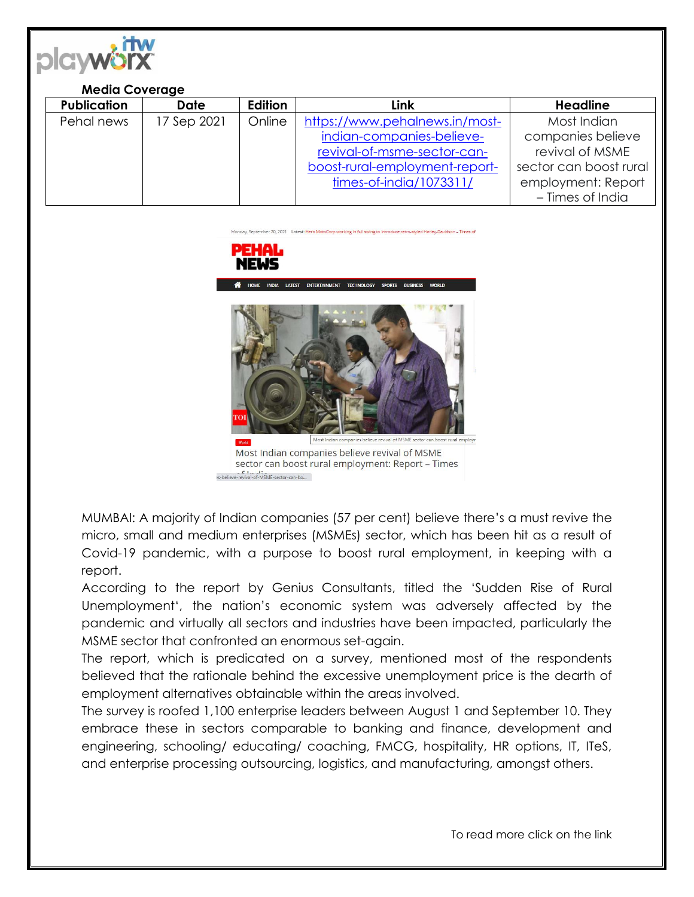

## **Media Coverage**

| <b>Publication</b> | <b>Date</b> | <b>Edition</b> | <b>Link</b>                    | <b>Headline</b>        |
|--------------------|-------------|----------------|--------------------------------|------------------------|
| Pehal news         | 17 Sep 2021 | Online         | https://www.pehalnews.in/most- | Most Indian            |
|                    |             |                | indian-companies-believe-      | companies believe      |
|                    |             |                | revival-of-msme-sector-can-    | revival of MSME        |
|                    |             |                | boost-rural-employment-report- | sector can boost rural |
|                    |             |                | times-of-india/1073311/        | employment: Report     |
|                    |             |                |                                | - Times of India       |

, September 20, 2021 Latest: Hero MotoCorp working in full swing to introduce retro-styled Harley-Davidson – Times of





sector can boost rural employment: Report - Times 

MUMBAI: A majority of Indian companies (57 per cent) believe there's a must revive the micro, small and medium enterprises (MSMEs) sector, which has been hit as a result of Covid-19 pandemic, with a purpose to boost rural employment, in keeping with a report.

According to the report by Genius Consultants, titled the 'Sudden Rise of Rural Unemployment', the nation's economic system was adversely affected by the pandemic and virtually all sectors and industries have been impacted, particularly the MSME sector that confronted an enormous set-again.

The report, which is predicated on a survey, mentioned most of the respondents believed that the rationale behind the excessive unemployment price is the dearth of employment alternatives obtainable within the areas involved.

The survey is roofed 1,100 enterprise leaders between August 1 and September 10. They embrace these in sectors comparable to banking and finance, development and engineering, schooling/ educating/ coaching, FMCG, hospitality, HR options, IT, ITeS, and enterprise processing outsourcing, logistics, and manufacturing, amongst others.